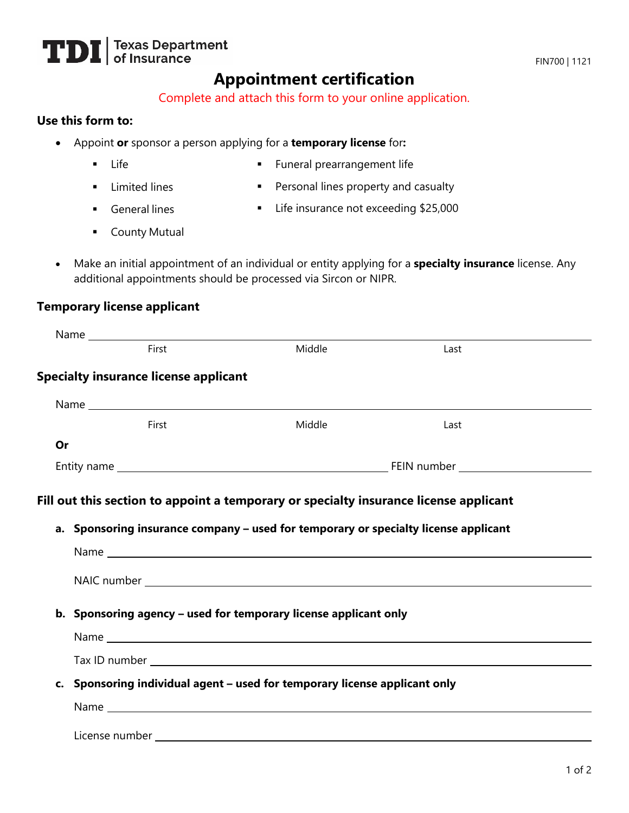# **TDI** Texas Department

# **Appointment certification**

Complete and attach this form to your online application.

#### **Use this form to:**

- Appoint **or** sponsor a person applying for a **temporary license** for**:**
	- **Life**
- **Funeral prearrangement life**
- **Limited lines General lines**
- **Personal lines property and casualty**
- 
- Life insurance not exceeding \$25,000
- **County Mutual**
- Make an initial appointment of an individual or entity applying for a **specialty insurance** license. Any additional appointments should be processed via Sircon or NIPR.

#### **Temporary license applicant**

|    | First                                                                                                                                                                                                                          | Middle | Last |  |
|----|--------------------------------------------------------------------------------------------------------------------------------------------------------------------------------------------------------------------------------|--------|------|--|
|    | <b>Specialty insurance license applicant</b>                                                                                                                                                                                   |        |      |  |
|    |                                                                                                                                                                                                                                |        |      |  |
|    | First                                                                                                                                                                                                                          | Middle | Last |  |
| Or |                                                                                                                                                                                                                                |        |      |  |
|    |                                                                                                                                                                                                                                |        |      |  |
|    | a. Sponsoring insurance company - used for temporary or specialty license applicant                                                                                                                                            |        |      |  |
|    | b. Sponsoring agency - used for temporary license applicant only                                                                                                                                                               |        |      |  |
|    |                                                                                                                                                                                                                                |        |      |  |
|    |                                                                                                                                                                                                                                |        |      |  |
|    | c. Sponsoring individual agent - used for temporary license applicant only                                                                                                                                                     |        |      |  |
|    |                                                                                                                                                                                                                                |        |      |  |
|    | License number and the state of the state of the state of the state of the state of the state of the state of the state of the state of the state of the state of the state of the state of the state of the state of the stat |        |      |  |